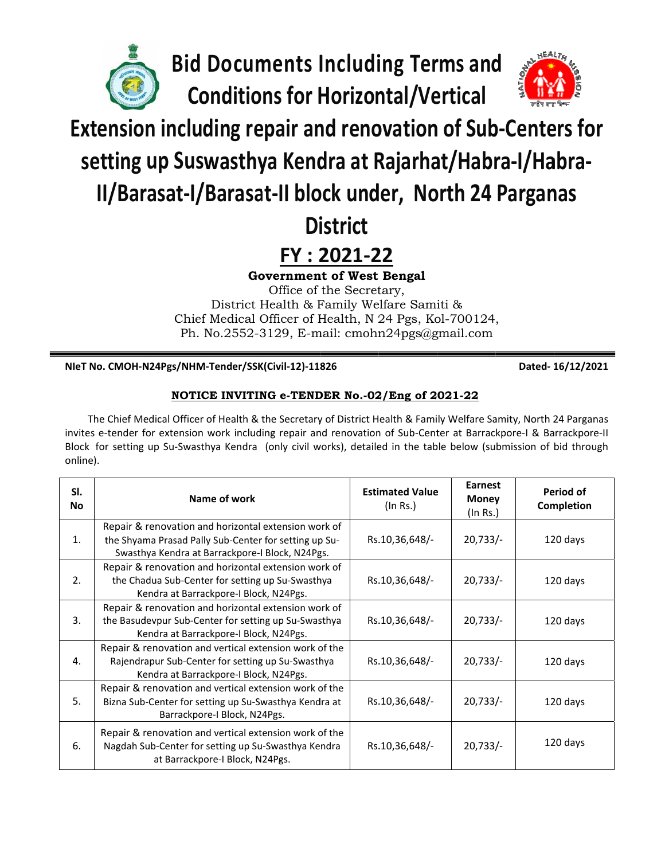

**Bid Documents Including Terms and Conditions for Horizontal/Vertical** 



# **Extension including repair and renovation of Sub-Centers for**

setting up Suswasthya Kendra at Rajarhat/Habra-I/Habra-

# II/Barasat-I/Barasat-II block under, North 24 Parganas

# **District**

## FY: 2021-22

**Government of West Bengal** 

Office of the Secretary, District Health & Family Welfare Samiti & Chief Medical Officer of Health, N 24 Pgs, Kol-700124, Ph. No.2552-3129, E-mail: cmohn24pgs@gmail.com

NIeT No. CMOH-N24Pgs/NHM-Tender/SSK(Civil-12)-11826

Dated-16/12/2021

### NOTICE INVITING e-TENDER No.-02/Eng of 2021-22

The Chief Medical Officer of Health & the Secretary of District Health & Family Welfare Samity, North 24 Parganas invites e-tender for extension work including repair and renovation of Sub-Center at Barrackpore-I & Barrackpore-II Block for setting up Su-Swasthya Kendra (only civil works), detailed in the table below (submission of bid through online).

| SI.<br><b>No</b> | Name of work                                                                                                                                                     | <b>Estimated Value</b><br>(In Rs.) | <b>Earnest</b><br><b>Money</b><br>(In Rs.) | Period of<br>Completion |
|------------------|------------------------------------------------------------------------------------------------------------------------------------------------------------------|------------------------------------|--------------------------------------------|-------------------------|
| 1.               | Repair & renovation and horizontal extension work of<br>the Shyama Prasad Pally Sub-Center for setting up Su-<br>Swasthya Kendra at Barrackpore-I Block, N24Pgs. | Rs.10,36,648/-                     | $20,733/-$                                 | 120 days                |
| 2.               | Repair & renovation and horizontal extension work of<br>the Chadua Sub-Center for setting up Su-Swasthya<br>Kendra at Barrackpore-I Block, N24Pgs.               | Rs.10,36,648/-                     | $20,733/-$                                 | 120 days                |
| 3.               | Repair & renovation and horizontal extension work of<br>the Basudevpur Sub-Center for setting up Su-Swasthya<br>Kendra at Barrackpore-I Block, N24Pgs.           | Rs.10,36,648/-                     | $20,733/-$                                 | 120 days                |
| 4.               | Repair & renovation and vertical extension work of the<br>Rajendrapur Sub-Center for setting up Su-Swasthya<br>Kendra at Barrackpore-I Block, N24Pgs.            | Rs.10,36,648/-                     | $20,733/-$                                 | 120 days                |
| 5.               | Repair & renovation and vertical extension work of the<br>Bizna Sub-Center for setting up Su-Swasthya Kendra at<br>Barrackpore-I Block, N24Pgs.                  | Rs.10,36,648/-                     | $20,733/-$                                 | 120 days                |
| 6.               | Repair & renovation and vertical extension work of the<br>Nagdah Sub-Center for setting up Su-Swasthya Kendra<br>at Barrackpore-I Block, N24Pgs.                 | Rs.10,36,648/-                     | $20,733/-$                                 | 120 days                |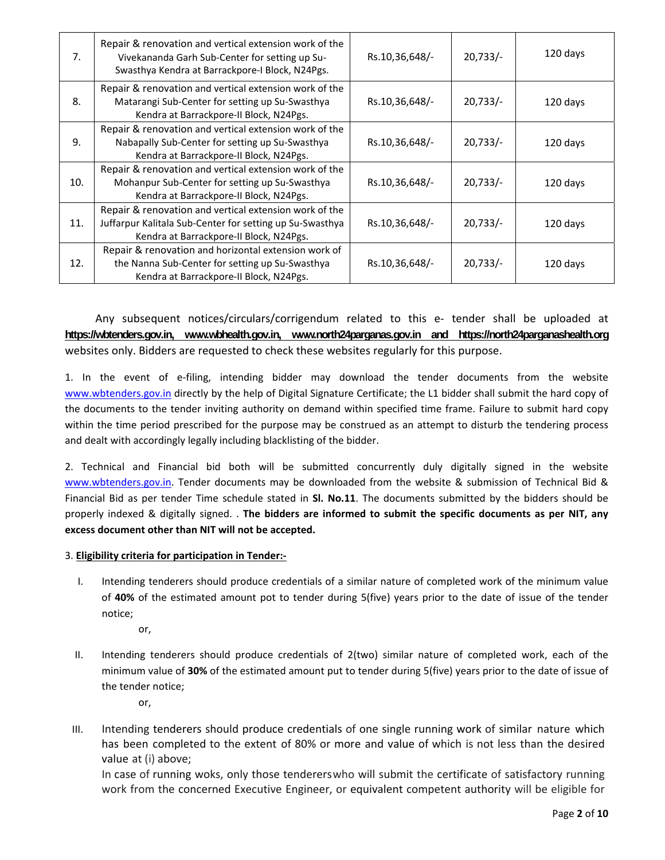| 7 <sub>1</sub> | Repair & renovation and vertical extension work of the<br>Vivekananda Garh Sub-Center for setting up Su-<br>Swasthya Kendra at Barrackpore-I Block, N24Pgs.   | Rs.10,36,648/- | $20,733/-$ | 120 days |
|----------------|---------------------------------------------------------------------------------------------------------------------------------------------------------------|----------------|------------|----------|
| 8.             | Repair & renovation and vertical extension work of the<br>Matarangi Sub-Center for setting up Su-Swasthya<br>Kendra at Barrackpore-II Block, N24Pgs.          | Rs.10,36,648/- | $20,733/-$ | 120 days |
| 9.             | Repair & renovation and vertical extension work of the<br>Nabapally Sub-Center for setting up Su-Swasthya<br>Kendra at Barrackpore-II Block, N24Pgs.          | Rs.10,36,648/- | $20,733/-$ | 120 days |
| 10.            | Repair & renovation and vertical extension work of the<br>Mohanpur Sub-Center for setting up Su-Swasthya<br>Kendra at Barrackpore-II Block, N24Pgs.           | Rs.10,36,648/- | 20,733/    | 120 days |
| 11.            | Repair & renovation and vertical extension work of the<br>Juffarpur Kalitala Sub-Center for setting up Su-Swasthya<br>Kendra at Barrackpore-II Block, N24Pgs. | Rs.10,36,648/- | 20,733/    | 120 days |
| 12.            | Repair & renovation and horizontal extension work of<br>the Nanna Sub-Center for setting up Su-Swasthya<br>Kendra at Barrackpore-II Block, N24Pgs.            | Rs.10,36,648/- | $20,733/-$ | 120 days |

 Any subsequent notices/circulars/corrigendum related to this e‐ tender shall be uploaded at **https://wbtenders.gov.in, www.wbhealth.gov.in, www.north24parganas.gov.in and https://north24parganashealth.org** websites only. Bidders are requested to check these websites regularly for this purpose.

1. In the event of e‐filing, intending bidder may download the tender documents from the website www.wbtenders.gov.in directly by the help of Digital Signature Certificate; the L1 bidder shall submit the hard copy of the documents to the tender inviting authority on demand within specified time frame. Failure to submit hard copy within the time period prescribed for the purpose may be construed as an attempt to disturb the tendering process and dealt with accordingly legally including blacklisting of the bidder.

2. Technical and Financial bid both will be submitted concurrently duly digitally signed in the website www.wbtenders.gov.in. Tender documents may be downloaded from the website & submission of Technical Bid & Financial Bid as per tender Time schedule stated in **Sl. No.11**. The documents submitted by the bidders should be properly indexed & digitally signed. . **The bidders are informed to submit the specific documents as per NIT, any excess document other than NIT will not be accepted.**

### 3. **Eligibility criteria for participation in Tender:‐**

- I. Intending tenderers should produce credentials of a similar nature of completed work of the minimum value of **40%** of the estimated amount pot to tender during 5(five) years prior to the date of issue of the tender notice;
	- or,
- II. Intending tenderers should produce credentials of 2(two) similar nature of completed work, each of the minimum value of **30%** of the estimated amount put to tender during 5(five) years prior to the date of issue of the tender notice;
	- or,
- III. Intending tenderers should produce credentials of one single running work of similar nature which has been completed to the extent of 80% or more and value of which is not less than the desired value at (i) above;

In case of running woks, only those tendererswho will submit the certificate of satisfactory running work from the concerned Executive Engineer, or equivalent competent authority will be eligible for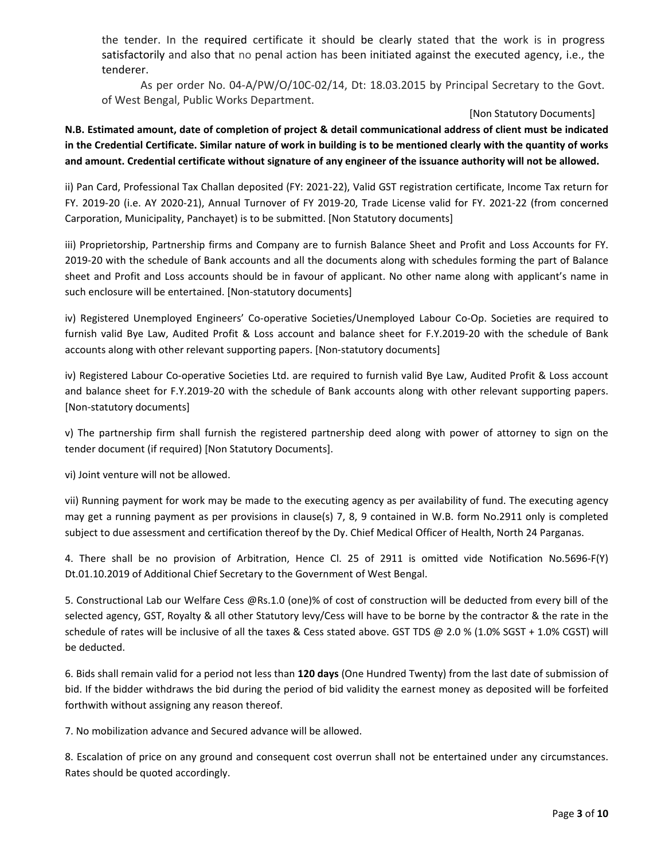the tender. In the required certificate it should be clearly stated that the work is in progress satisfactorily and also that no penal action has been initiated against the executed agency, i.e., the tenderer.

 As per order No. 04‐A/PW/O/10C‐02/14, Dt: 18.03.2015 by Principal Secretary to the Govt. of West Bengal, Public Works Department.

#### [Non Statutory Documents]

N.B. Estimated amount, date of completion of project & detail communicational address of client must be indicated in the Credential Certificate. Similar nature of work in building is to be mentioned clearly with the quantity of works and amount. Credential certificate without signature of any engineer of the issuance authority will not be allowed.

ii) Pan Card, Professional Tax Challan deposited (FY: 2021‐22), Valid GST registration certificate, Income Tax return for FY. 2019‐20 (i.e. AY 2020‐21), Annual Turnover of FY 2019‐20, Trade License valid for FY. 2021‐22 (from concerned Carporation, Municipality, Panchayet) is to be submitted. [Non Statutory documents]

iii) Proprietorship, Partnership firms and Company are to furnish Balance Sheet and Profit and Loss Accounts for FY. 2019-20 with the schedule of Bank accounts and all the documents along with schedules forming the part of Balance sheet and Profit and Loss accounts should be in favour of applicant. No other name along with applicant's name in such enclosure will be entertained. [Non‐statutory documents]

iv) Registered Unemployed Engineers' Co‐operative Societies/Unemployed Labour Co‐Op. Societies are required to furnish valid Bye Law, Audited Profit & Loss account and balance sheet for F.Y.2019-20 with the schedule of Bank accounts along with other relevant supporting papers. [Non‐statutory documents]

iv) Registered Labour Co‐operative Societies Ltd. are required to furnish valid Bye Law, Audited Profit & Loss account and balance sheet for F.Y.2019-20 with the schedule of Bank accounts along with other relevant supporting papers. [Non‐statutory documents]

v) The partnership firm shall furnish the registered partnership deed along with power of attorney to sign on the tender document (if required) [Non Statutory Documents].

vi) Joint venture will not be allowed.

vii) Running payment for work may be made to the executing agency as per availability of fund. The executing agency may get a running payment as per provisions in clause(s) 7, 8, 9 contained in W.B. form No.2911 only is completed subject to due assessment and certification thereof by the Dy. Chief Medical Officer of Health, North 24 Parganas.

4. There shall be no provision of Arbitration, Hence Cl. 25 of 2911 is omitted vide Notification No.5696‐F(Y) Dt.01.10.2019 of Additional Chief Secretary to the Government of West Bengal.

5. Constructional Lab our Welfare Cess @Rs.1.0 (one)% of cost of construction will be deducted from every bill of the selected agency, GST, Royalty & all other Statutory levy/Cess will have to be borne by the contractor & the rate in the schedule of rates will be inclusive of all the taxes & Cess stated above. GST TDS @ 2.0 % (1.0% SGST + 1.0% CGST) will be deducted.

6. Bids shall remain valid for a period not less than **120 days** (One Hundred Twenty) from the last date of submission of bid. If the bidder withdraws the bid during the period of bid validity the earnest money as deposited will be forfeited forthwith without assigning any reason thereof.

7. No mobilization advance and Secured advance will be allowed.

8. Escalation of price on any ground and consequent cost overrun shall not be entertained under any circumstances. Rates should be quoted accordingly.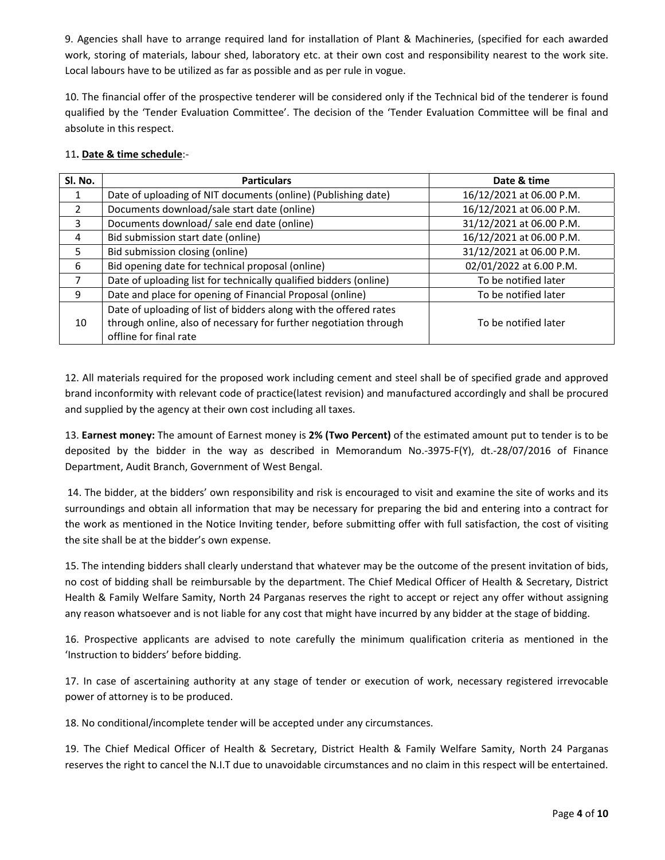9. Agencies shall have to arrange required land for installation of Plant & Machineries, (specified for each awarded work, storing of materials, labour shed, laboratory etc. at their own cost and responsibility nearest to the work site. Local labours have to be utilized as far as possible and as per rule in vogue.

10. The financial offer of the prospective tenderer will be considered only if the Technical bid of the tenderer is found qualified by the 'Tender Evaluation Committee'. The decision of the 'Tender Evaluation Committee will be final and absolute in this respect.

#### 11**. Date & time schedule**:‐

| SI. No.        | <b>Particulars</b>                                                | Date & time              |
|----------------|-------------------------------------------------------------------|--------------------------|
|                | Date of uploading of NIT documents (online) (Publishing date)     | 16/12/2021 at 06.00 P.M. |
| $\overline{2}$ | Documents download/sale start date (online)                       | 16/12/2021 at 06.00 P.M. |
| 3              | Documents download/ sale end date (online)                        | 31/12/2021 at 06.00 P.M. |
| 4              | Bid submission start date (online)                                | 16/12/2021 at 06.00 P.M. |
| 5              | Bid submission closing (online)                                   | 31/12/2021 at 06.00 P.M. |
| 6              | Bid opening date for technical proposal (online)                  | 02/01/2022 at 6.00 P.M.  |
| 7              | Date of uploading list for technically qualified bidders (online) | To be notified later     |
| 9              | Date and place for opening of Financial Proposal (online)         | To be notified later     |
|                | Date of uploading of list of bidders along with the offered rates |                          |
| 10             | through online, also of necessary for further negotiation through | To be notified later     |
|                | offline for final rate                                            |                          |

12. All materials required for the proposed work including cement and steel shall be of specified grade and approved brand inconformity with relevant code of practice(latest revision) and manufactured accordingly and shall be procured and supplied by the agency at their own cost including all taxes.

13. **Earnest money:** The amount of Earnest money is **2% (Two Percent)** of the estimated amount put to tender is to be deposited by the bidder in the way as described in Memorandum No.‐3975‐F(Y), dt.‐28/07/2016 of Finance Department, Audit Branch, Government of West Bengal.

14. The bidder, at the bidders' own responsibility and risk is encouraged to visit and examine the site of works and its surroundings and obtain all information that may be necessary for preparing the bid and entering into a contract for the work as mentioned in the Notice Inviting tender, before submitting offer with full satisfaction, the cost of visiting the site shall be at the bidder's own expense.

15. The intending bidders shall clearly understand that whatever may be the outcome of the present invitation of bids, no cost of bidding shall be reimbursable by the department. The Chief Medical Officer of Health & Secretary, District Health & Family Welfare Samity, North 24 Parganas reserves the right to accept or reject any offer without assigning any reason whatsoever and is not liable for any cost that might have incurred by any bidder at the stage of bidding.

16. Prospective applicants are advised to note carefully the minimum qualification criteria as mentioned in the 'Instruction to bidders' before bidding.

17. In case of ascertaining authority at any stage of tender or execution of work, necessary registered irrevocable power of attorney is to be produced.

18. No conditional/incomplete tender will be accepted under any circumstances.

19. The Chief Medical Officer of Health & Secretary, District Health & Family Welfare Samity, North 24 Parganas reserves the right to cancel the N.I.T due to unavoidable circumstances and no claim in this respect will be entertained.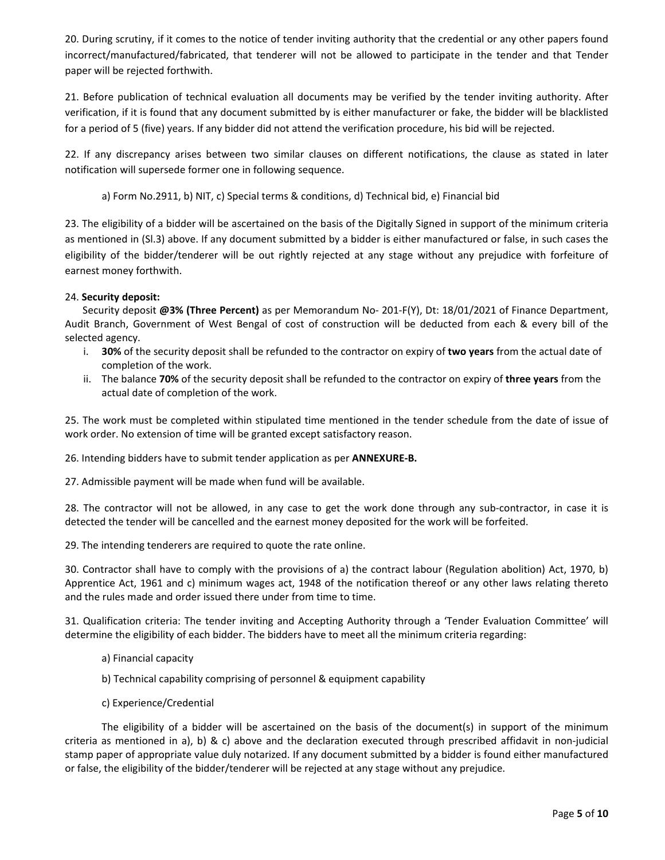20. During scrutiny, if it comes to the notice of tender inviting authority that the credential or any other papers found incorrect/manufactured/fabricated, that tenderer will not be allowed to participate in the tender and that Tender paper will be rejected forthwith.

21. Before publication of technical evaluation all documents may be verified by the tender inviting authority. After verification, if it is found that any document submitted by is either manufacturer or fake, the bidder will be blacklisted for a period of 5 (five) years. If any bidder did not attend the verification procedure, his bid will be rejected.

22. If any discrepancy arises between two similar clauses on different notifications, the clause as stated in later notification will supersede former one in following sequence.

a) Form No.2911, b) NIT, c) Special terms & conditions, d) Technical bid, e) Financial bid

23. The eligibility of a bidder will be ascertained on the basis of the Digitally Signed in support of the minimum criteria as mentioned in (Sl.3) above. If any document submitted by a bidder is either manufactured or false, in such cases the eligibility of the bidder/tenderer will be out rightly rejected at any stage without any prejudice with forfeiture of earnest money forthwith.

### 24. **Security deposit:**

 Security deposit **@3% (Three Percent)** as per Memorandum No‐ 201‐F(Y), Dt: 18/01/2021 of Finance Department, Audit Branch, Government of West Bengal of cost of construction will be deducted from each & every bill of the selected agency.

- i. **30%** of the security deposit shall be refunded to the contractor on expiry of **two years** from the actual date of completion of the work.
- ii. The balance **70%** of the security deposit shall be refunded to the contractor on expiry of **three years** from the actual date of completion of the work.

25. The work must be completed within stipulated time mentioned in the tender schedule from the date of issue of work order. No extension of time will be granted except satisfactory reason.

26. Intending bidders have to submit tender application as per **ANNEXURE‐B.**

27. Admissible payment will be made when fund will be available.

28. The contractor will not be allowed, in any case to get the work done through any sub-contractor, in case it is detected the tender will be cancelled and the earnest money deposited for the work will be forfeited.

29. The intending tenderers are required to quote the rate online.

30. Contractor shall have to comply with the provisions of a) the contract labour (Regulation abolition) Act, 1970, b) Apprentice Act, 1961 and c) minimum wages act, 1948 of the notification thereof or any other laws relating thereto and the rules made and order issued there under from time to time.

31. Qualification criteria: The tender inviting and Accepting Authority through a 'Tender Evaluation Committee' will determine the eligibility of each bidder. The bidders have to meet all the minimum criteria regarding:

- a) Financial capacity
- b) Technical capability comprising of personnel & equipment capability
- c) Experience/Credential

The eligibility of a bidder will be ascertained on the basis of the document(s) in support of the minimum criteria as mentioned in a), b) & c) above and the declaration executed through prescribed affidavit in non-judicial stamp paper of appropriate value duly notarized. If any document submitted by a bidder is found either manufactured or false, the eligibility of the bidder/tenderer will be rejected at any stage without any prejudice.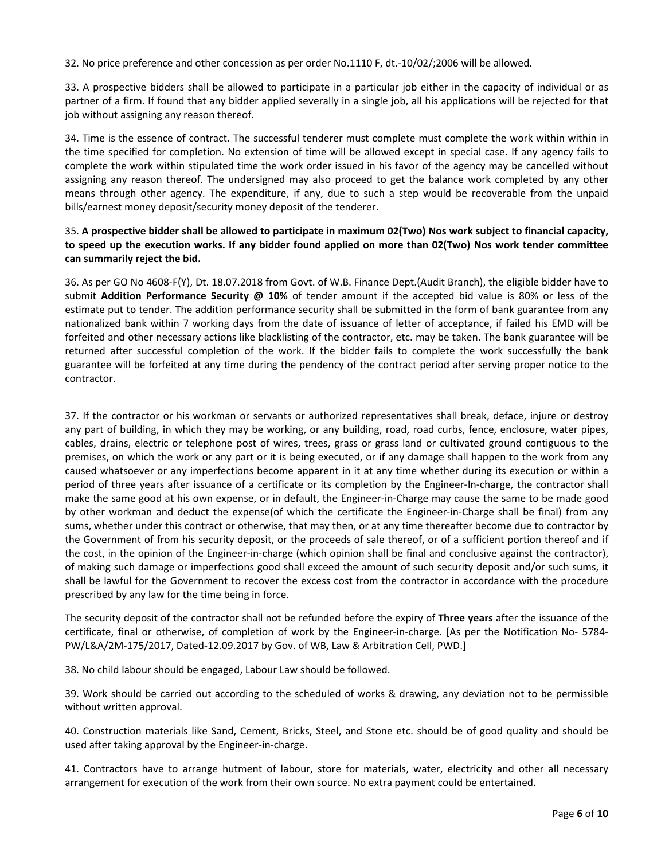32. No price preference and other concession as per order No.1110 F, dt.‐10/02/;2006 will be allowed.

33. A prospective bidders shall be allowed to participate in a particular job either in the capacity of individual or as partner of a firm. If found that any bidder applied severally in a single job, all his applications will be rejected for that job without assigning any reason thereof.

34. Time is the essence of contract. The successful tenderer must complete must complete the work within within in the time specified for completion. No extension of time will be allowed except in special case. If any agency fails to complete the work within stipulated time the work order issued in his favor of the agency may be cancelled without assigning any reason thereof. The undersigned may also proceed to get the balance work completed by any other means through other agency. The expenditure, if any, due to such a step would be recoverable from the unpaid bills/earnest money deposit/security money deposit of the tenderer.

#### 35. A prospective bidder shall be allowed to participate in maximum 02(Two) Nos work subject to financial capacity, to speed up the execution works. If any bidder found applied on more than 02(Two) Nos work tender committee **can summarily reject the bid.**

36. As per GO No 4608‐F(Y), Dt. 18.07.2018 from Govt. of W.B. Finance Dept.(Audit Branch), the eligible bidder have to submit **Addition Performance Security @ 10%** of tender amount if the accepted bid value is 80% or less of the estimate put to tender. The addition performance security shall be submitted in the form of bank guarantee from any nationalized bank within 7 working days from the date of issuance of letter of acceptance, if failed his EMD will be forfeited and other necessary actions like blacklisting of the contractor, etc. may be taken. The bank guarantee will be returned after successful completion of the work. If the bidder fails to complete the work successfully the bank guarantee will be forfeited at any time during the pendency of the contract period after serving proper notice to the contractor.

37. If the contractor or his workman or servants or authorized representatives shall break, deface, injure or destroy any part of building, in which they may be working, or any building, road, road curbs, fence, enclosure, water pipes, cables, drains, electric or telephone post of wires, trees, grass or grass land or cultivated ground contiguous to the premises, on which the work or any part or it is being executed, or if any damage shall happen to the work from any caused whatsoever or any imperfections become apparent in it at any time whether during its execution or within a period of three years after issuance of a certificate or its completion by the Engineer-In-charge, the contractor shall make the same good at his own expense, or in default, the Engineer‐in‐Charge may cause the same to be made good by other workman and deduct the expense(of which the certificate the Engineer‐in‐Charge shall be final) from any sums, whether under this contract or otherwise, that may then, or at any time thereafter become due to contractor by the Government of from his security deposit, or the proceeds of sale thereof, or of a sufficient portion thereof and if the cost, in the opinion of the Engineer‐in‐charge (which opinion shall be final and conclusive against the contractor), of making such damage or imperfections good shall exceed the amount of such security deposit and/or such sums, it shall be lawful for the Government to recover the excess cost from the contractor in accordance with the procedure prescribed by any law for the time being in force.

The security deposit of the contractor shall not be refunded before the expiry of **Three years** after the issuance of the certificate, final or otherwise, of completion of work by the Engineer-in-charge. [As per the Notification No- 5784-PW/L&A/2M‐175/2017, Dated‐12.09.2017 by Gov. of WB, Law & Arbitration Cell, PWD.]

38. No child labour should be engaged, Labour Law should be followed.

39. Work should be carried out according to the scheduled of works & drawing, any deviation not to be permissible without written approval.

40. Construction materials like Sand, Cement, Bricks, Steel, and Stone etc. should be of good quality and should be used after taking approval by the Engineer‐in‐charge.

41. Contractors have to arrange hutment of labour, store for materials, water, electricity and other all necessary arrangement for execution of the work from their own source. No extra payment could be entertained.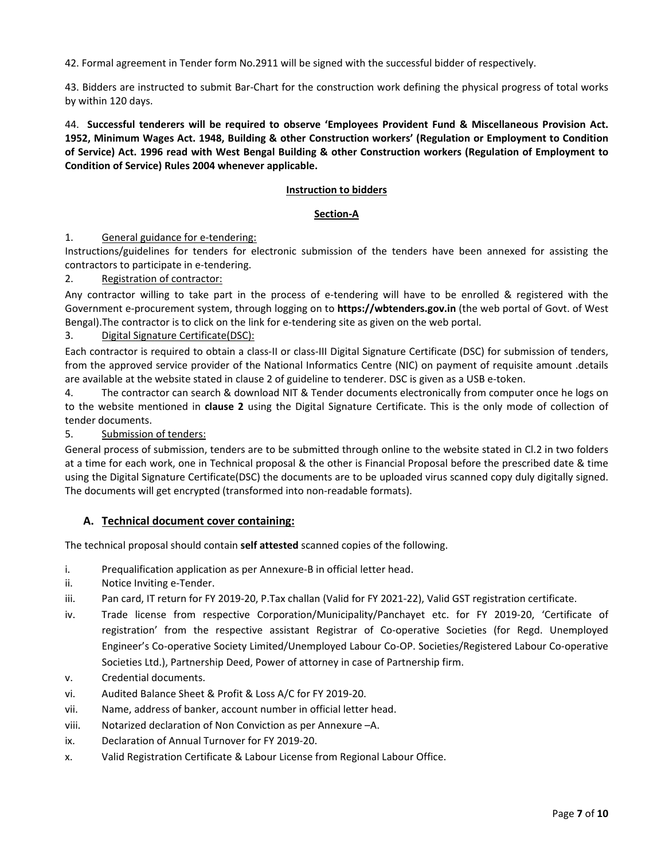42. Formal agreement in Tender form No.2911 will be signed with the successful bidder of respectively.

43. Bidders are instructed to submit Bar-Chart for the construction work defining the physical progress of total works by within 120 days.

44. **Successful tenderers will be required to observe 'Employees Provident Fund & Miscellaneous Provision Act. 1952, Minimum Wages Act. 1948, Building & other Construction workers' (Regulation or Employment to Condition** of Service) Act. 1996 read with West Bengal Building & other Construction workers (Regulation of Employment to **Condition of Service) Rules 2004 whenever applicable.**

#### **Instruction to bidders**

#### **Section‐A**

#### 1. General guidance for e-tendering:

Instructions/guidelines for tenders for electronic submission of the tenders have been annexed for assisting the contractors to participate in e‐tendering.

#### 2. Registration of contractor:

Any contractor willing to take part in the process of e‐tendering will have to be enrolled & registered with the Government e‐procurement system, through logging on to **https://wbtenders.gov.in** (the web portal of Govt. of West Bengal). The contractor is to click on the link for e-tendering site as given on the web portal.

#### 3. Digital Signature Certificate(DSC):

Each contractor is required to obtain a class-II or class-III Digital Signature Certificate (DSC) for submission of tenders, from the approved service provider of the National Informatics Centre (NIC) on payment of requisite amount .details are available at the website stated in clause 2 of guideline to tenderer. DSC is given as a USB e-token.

4. The contractor can search & download NIT & Tender documents electronically from computer once he logs on to the website mentioned in **clause 2** using the Digital Signature Certificate. This is the only mode of collection of tender documents.

5. Submission of tenders:

General process of submission, tenders are to be submitted through online to the website stated in Cl.2 in two folders at a time for each work, one in Technical proposal & the other is Financial Proposal before the prescribed date & time using the Digital Signature Certificate(DSC) the documents are to be uploaded virus scanned copy duly digitally signed. The documents will get encrypted (transformed into non‐readable formats).

### **A. Technical document cover containing:**

The technical proposal should contain **self attested** scanned copies of the following.

- i. Prequalification application as per Annexure‐B in official letter head.
- ii. Notice Inviting e‐Tender.
- iii. Pan card, IT return for FY 2019‐20, P.Tax challan (Valid for FY 2021‐22), Valid GST registration certificate.
- iv. Trade license from respective Corporation/Municipality/Panchayet etc. for FY 2019‐20, 'Certificate of registration' from the respective assistant Registrar of Co‐operative Societies (for Regd. Unemployed Engineer's Co‐operative Society Limited/Unemployed Labour Co‐OP. Societies/Registered Labour Co‐operative Societies Ltd.), Partnership Deed, Power of attorney in case of Partnership firm.
- v. Credential documents.
- vi. Audited Balance Sheet & Profit & Loss A/C for FY 2019‐20.
- vii. Name, address of banker, account number in official letter head.
- viii. Notarized declaration of Non Conviction as per Annexure –A.
- ix. Declaration of Annual Turnover for FY 2019‐20.
- x. Valid Registration Certificate & Labour License from Regional Labour Office.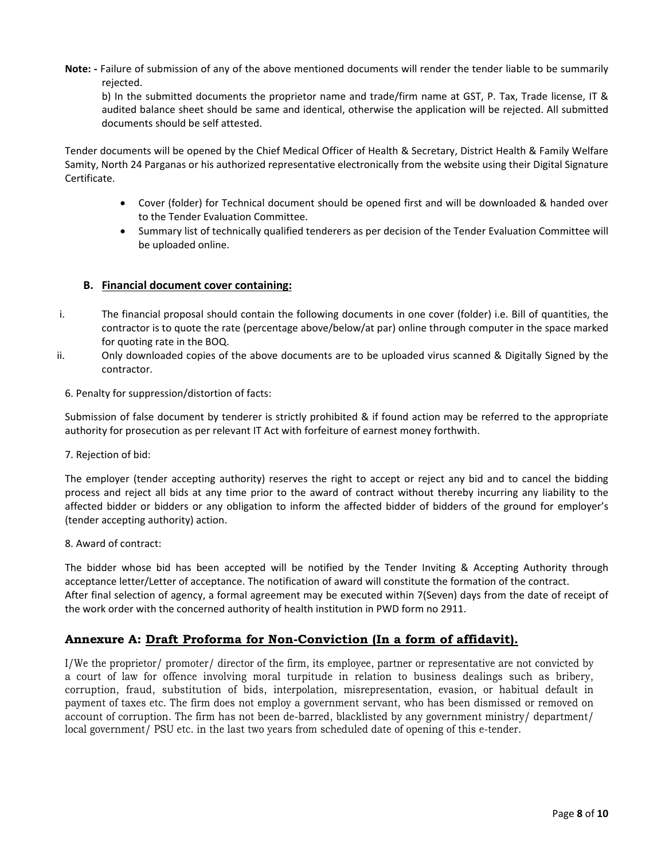**Note: ‐** Failure of submission of any of the above mentioned documents will render the tender liable to be summarily rejected.

b) In the submitted documents the proprietor name and trade/firm name at GST, P. Tax, Trade license, IT & audited balance sheet should be same and identical, otherwise the application will be rejected. All submitted documents should be self attested.

Tender documents will be opened by the Chief Medical Officer of Health & Secretary, District Health & Family Welfare Samity, North 24 Parganas or his authorized representative electronically from the website using their Digital Signature Certificate.

- Cover (folder) for Technical document should be opened first and will be downloaded & handed over to the Tender Evaluation Committee.
- Summary list of technically qualified tenderers as per decision of the Tender Evaluation Committee will be uploaded online.

#### **B. Financial document cover containing:**

- i. The financial proposal should contain the following documents in one cover (folder) i.e. Bill of quantities, the contractor is to quote the rate (percentage above/below/at par) online through computer in the space marked for quoting rate in the BOQ.
- ii. Only downloaded copies of the above documents are to be uploaded virus scanned & Digitally Signed by the contractor.
	- 6. Penalty for suppression/distortion of facts:

Submission of false document by tenderer is strictly prohibited & if found action may be referred to the appropriate authority for prosecution as per relevant IT Act with forfeiture of earnest money forthwith.

7. Rejection of bid:

The employer (tender accepting authority) reserves the right to accept or reject any bid and to cancel the bidding process and reject all bids at any time prior to the award of contract without thereby incurring any liability to the affected bidder or bidders or any obligation to inform the affected bidder of bidders of the ground for employer's (tender accepting authority) action.

#### 8. Award of contract:

The bidder whose bid has been accepted will be notified by the Tender Inviting & Accepting Authority through acceptance letter/Letter of acceptance. The notification of award will constitute the formation of the contract. After final selection of agency, a formal agreement may be executed within 7(Seven) days from the date of receipt of the work order with the concerned authority of health institution in PWD form no 2911.

### **Annexure A: Draft Proforma for Non-Conviction (In a form of affidavit).**

I/We the proprietor/ promoter/ director of the firm, its employee, partner or representative are not convicted by a court of law for offence involving moral turpitude in relation to business dealings such as bribery, corruption, fraud, substitution of bids, interpolation, misrepresentation, evasion, or habitual default in payment of taxes etc. The firm does not employ a government servant, who has been dismissed or removed on account of corruption. The firm has not been de-barred, blacklisted by any government ministry/ department/ local government/ PSU etc. in the last two years from scheduled date of opening of this e-tender.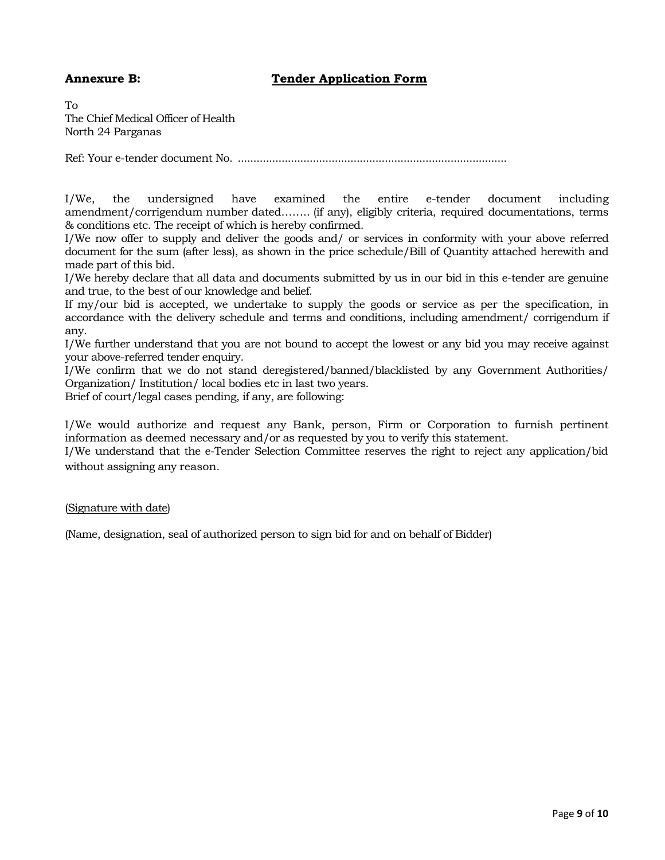### **Annexure B:** Tender Application Form

To The Chief Medical Officer of Health North 24 Parganas

Ref: Your e-tender document No. ......................................................................................

I/We, the undersigned have examined the entire e-tender document including amendment/corrigendum number dated…….. (if any), eligibly criteria, required documentations, terms & conditions etc. The receipt of which is hereby confirmed.

I/We now offer to supply and deliver the goods and/ or services in conformity with your above referred document for the sum (after less), as shown in the price schedule/Bill of Quantity attached herewith and made part of this bid.

I/We hereby declare that all data and documents submitted by us in our bid in this e-tender are genuine and true, to the best of our knowledge and belief.

If my/our bid is accepted, we undertake to supply the goods or service as per the specification, in accordance with the delivery schedule and terms and conditions, including amendment/ corrigendum if any.

I/We further understand that you are not bound to accept the lowest or any bid you may receive against your above-referred tender enquiry.

I/We confirm that we do not stand deregistered/banned/blacklisted by any Government Authorities/ Organization/ Institution/ local bodies etc in last two years.

Brief of court/legal cases pending, if any, are following:

I/We would authorize and request any Bank, person, Firm or Corporation to furnish pertinent information as deemed necessary and/or as requested by you to verify this statement.

I/We understand that the e-Tender Selection Committee reserves the right to reject any application/bid without assigning any reason.

### (Signature with date)

(Name, designation, seal of authorized person to sign bid for and on behalf of Bidder)